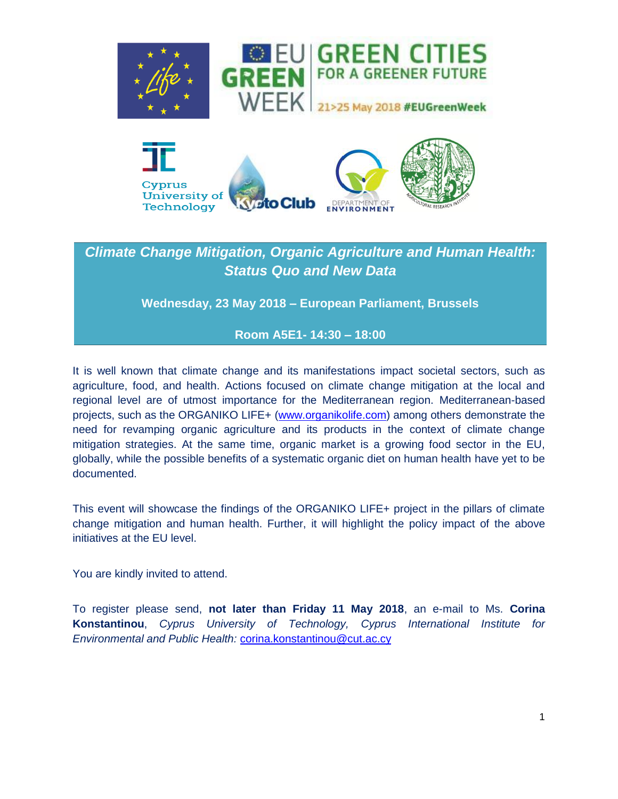



# *Climate Change Mitigation, Organic Agriculture and Human Health: Status Quo and New Data*

**Wednesday, 23 May 2018 – European Parliament, Brussels**

## **Room A5E1- 14:30 – 18:00**

It is well known that climate change and its manifestations impact societal sectors, such as agriculture, food, and health. Actions focused on climate change mitigation at the local and regional level are of utmost importance for the Mediterranean region. Mediterranean-based projects, such as the ORGANIKO LIFE+ [\(www.organikolife.com\)](http://www.organikolife.com/) among others demonstrate the need for revamping organic agriculture and its products in the context of climate change mitigation strategies. At the same time, organic market is a growing food sector in the EU, globally, while the possible benefits of a systematic organic diet on human health have yet to be documented.

This event will showcase the findings of the ORGANIKO LIFE+ project in the pillars of climate change mitigation and human health. Further, it will highlight the policy impact of the above initiatives at the EU level.

You are kindly invited to attend.

To register please send, **not later than Friday 11 May 2018**, an e-mail to Ms. **Corina Konstantinou**, *Cyprus University of Technology, Cyprus International Institute for Environmental and Public Health:* [corina.konstantinou@cut.ac.cy](mailto:corina.konstantinou@cut.ac.cy)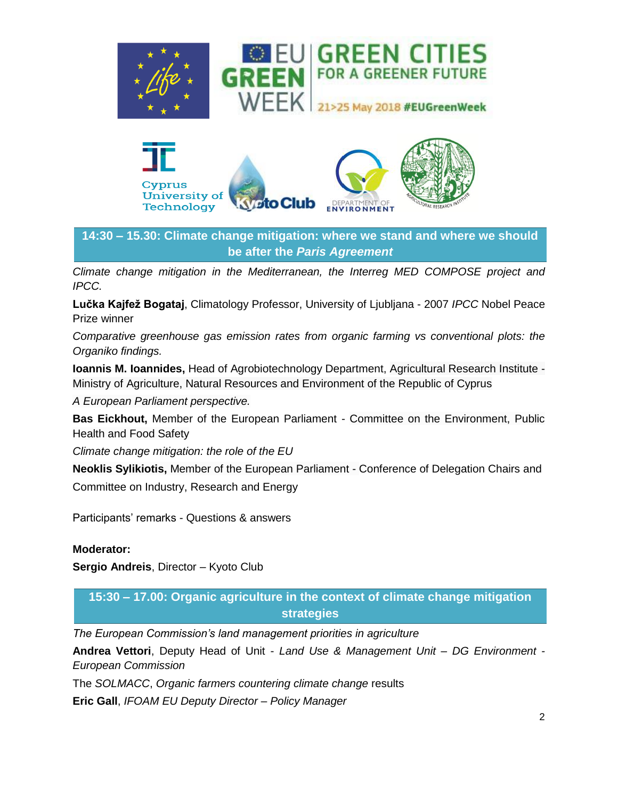



**14:30 – 15.30: Climate change mitigation: where we stand and where we should be after the** *Paris Agreement*

*Climate change mitigation in the Mediterranean, the Interreg MED COMPOSE project and IPCC.* 

**Lučka Kajfež Bogataj**, Climatology Professor, University of Ljubljana - 2007 *IPCC* Nobel Peace Prize winner

*Comparative greenhouse gas emission rates from organic farming vs conventional plots: the Organiko findings.* 

**Ioannis M. Ioannides,** Head of Agrobiotechnology Department, Agricultural Research Institute - Ministry of Agriculture, Natural Resources and Environment of the Republic of Cyprus

*A European Parliament perspective.* 

**Bas Eickhout,** Member of the European Parliament - Committee on the Environment, Public Health and Food Safety

*Climate change mitigation: the role of the EU*

**Neoklis Sylikiotis,** Member of the European Parliament - Conference of Delegation Chairs and Committee on Industry, Research and Energy

Participants' remarks - Questions & answers

#### **Moderator:**

**Sergio Andreis**, Director – Kyoto Club

**15:30 – 17.00: Organic agriculture in the context of climate change mitigation strategies**

*The European Commission's land management priorities in agriculture* 

**Andrea Vettori**, Deputy Head of Unit - *Land Use & Management Unit – DG Environment - European Commission*

The *SOLMACC*, *Organic farmers countering climate change* results

**Eric Gall**, *IFOAM EU Deputy Director – Policy Manager*